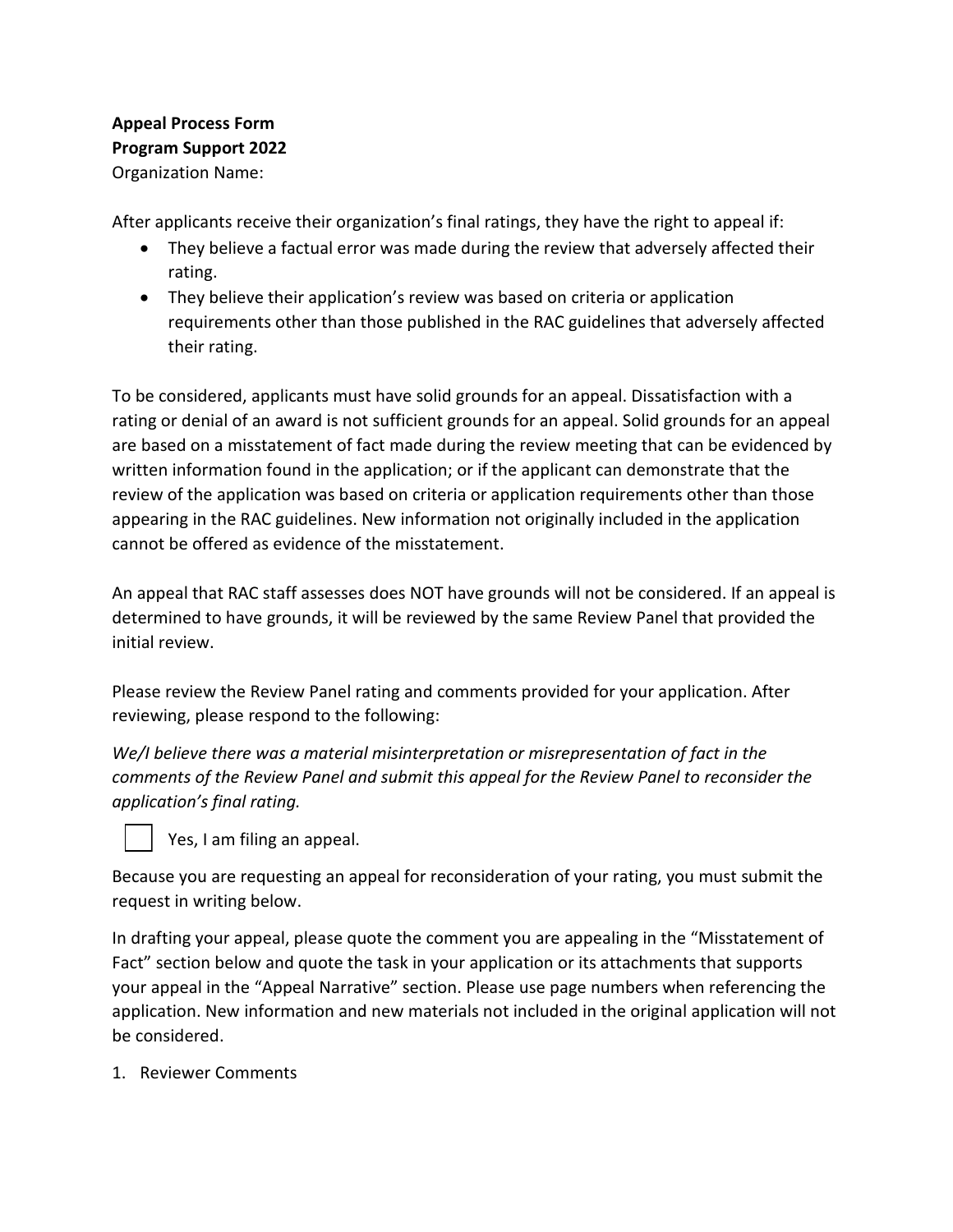## **Appeal Process Form Program Support 2022** Organization Name:

After applicants receive their organization's final ratings, they have the right to appeal if:

- They believe a factual error was made during the review that adversely affected their rating.
- They believe their application's review was based on criteria or application requirements other than those published in the RAC guidelines that adversely affected their rating.

To be considered, applicants must have solid grounds for an appeal. Dissatisfaction with a rating or denial of an award is not sufficient grounds for an appeal. Solid grounds for an appeal are based on a misstatement of fact made during the review meeting that can be evidenced by written information found in the application; or if the applicant can demonstrate that the review of the application was based on criteria or application requirements other than those appearing in the RAC guidelines. New information not originally included in the application cannot be offered as evidence of the misstatement.

An appeal that RAC staff assesses does NOT have grounds will not be considered. If an appeal is determined to have grounds, it will be reviewed by the same Review Panel that provided the initial review.

Please review the Review Panel rating and comments provided for your application. After reviewing, please respond to the following:

*We/I believe there was a material misinterpretation or misrepresentation of fact in the comments of the Review Panel and submit this appeal for the Review Panel to reconsider the application's final rating.*



Yes, I am filing an appeal.

Because you are requesting an appeal for reconsideration of your rating, you must submit the request in writing below.

In drafting your appeal, please quote the comment you are appealing in the "Misstatement of Fact" section below and quote the task in your application or its attachments that supports your appeal in the "Appeal Narrative" section. Please use page numbers when referencing the application. New information and new materials not included in the original application will not be considered.

1. Reviewer Comments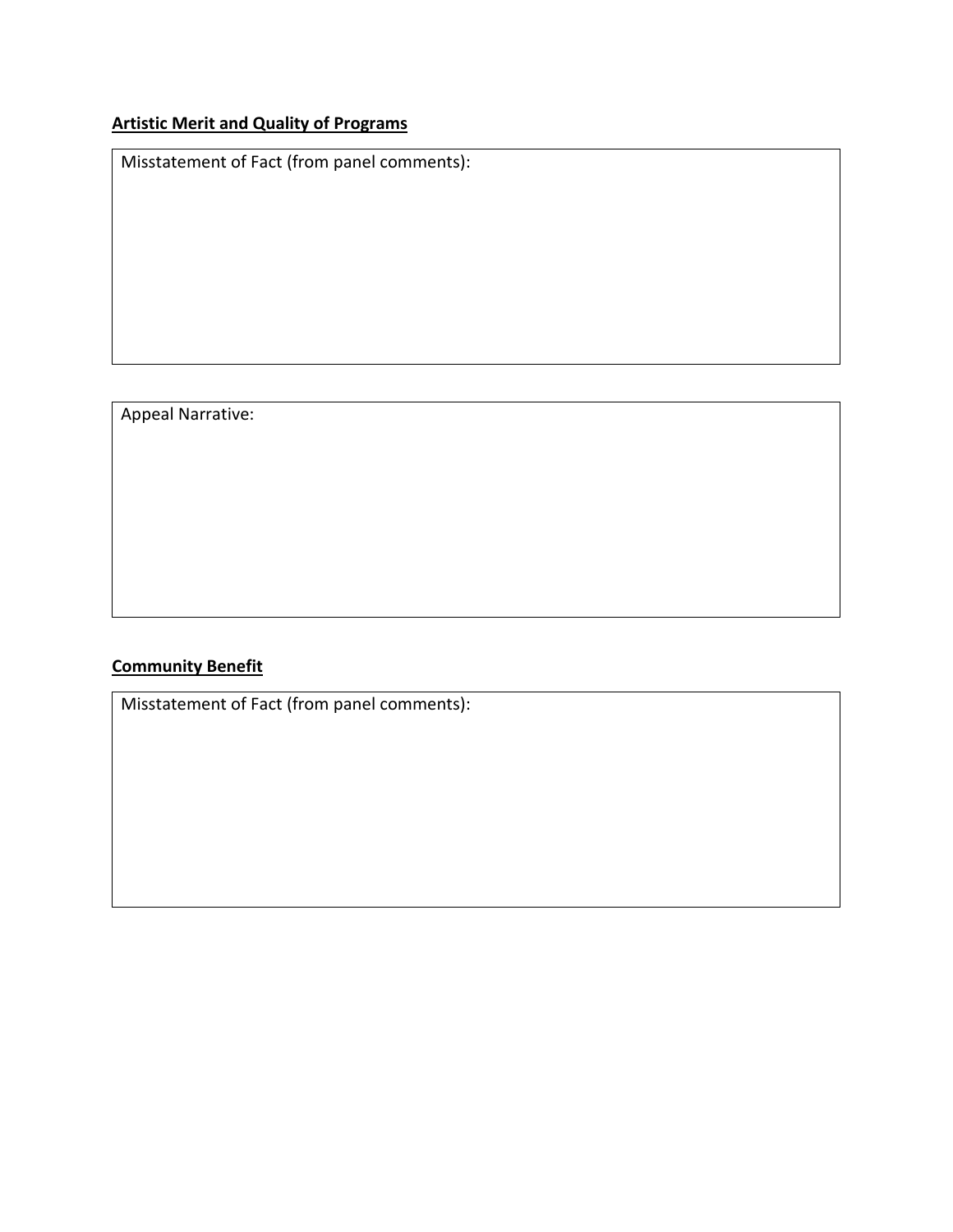# **Artistic Merit and Quality of Programs**

Misstatement of Fact (from panel comments):

### Appeal Narrative:

### **Community Benefit**

Misstatement of Fact (from panel comments):